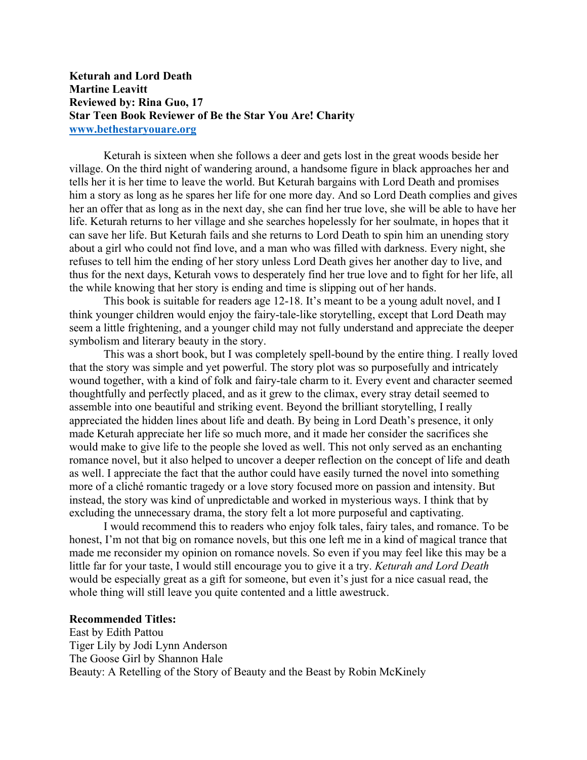## **Keturah and Lord Death Martine Leavitt Reviewed by: Rina Guo, 17 Star Teen Book Reviewer of Be the Star You Are! Charity www.bethestaryouare.org**

Keturah is sixteen when she follows a deer and gets lost in the great woods beside her village. On the third night of wandering around, a handsome figure in black approaches her and tells her it is her time to leave the world. But Keturah bargains with Lord Death and promises him a story as long as he spares her life for one more day. And so Lord Death complies and gives her an offer that as long as in the next day, she can find her true love, she will be able to have her life. Keturah returns to her village and she searches hopelessly for her soulmate, in hopes that it can save her life. But Keturah fails and she returns to Lord Death to spin him an unending story about a girl who could not find love, and a man who was filled with darkness. Every night, she refuses to tell him the ending of her story unless Lord Death gives her another day to live, and thus for the next days, Keturah vows to desperately find her true love and to fight for her life, all the while knowing that her story is ending and time is slipping out of her hands.

This book is suitable for readers age 12-18. It's meant to be a young adult novel, and I think younger children would enjoy the fairy-tale-like storytelling, except that Lord Death may seem a little frightening, and a younger child may not fully understand and appreciate the deeper symbolism and literary beauty in the story.

This was a short book, but I was completely spell-bound by the entire thing. I really loved that the story was simple and yet powerful. The story plot was so purposefully and intricately wound together, with a kind of folk and fairy-tale charm to it. Every event and character seemed thoughtfully and perfectly placed, and as it grew to the climax, every stray detail seemed to assemble into one beautiful and striking event. Beyond the brilliant storytelling, I really appreciated the hidden lines about life and death. By being in Lord Death's presence, it only made Keturah appreciate her life so much more, and it made her consider the sacrifices she would make to give life to the people she loved as well. This not only served as an enchanting romance novel, but it also helped to uncover a deeper reflection on the concept of life and death as well. I appreciate the fact that the author could have easily turned the novel into something more of a cliché romantic tragedy or a love story focused more on passion and intensity. But instead, the story was kind of unpredictable and worked in mysterious ways. I think that by excluding the unnecessary drama, the story felt a lot more purposeful and captivating.

I would recommend this to readers who enjoy folk tales, fairy tales, and romance. To be honest, I'm not that big on romance novels, but this one left me in a kind of magical trance that made me reconsider my opinion on romance novels. So even if you may feel like this may be a little far for your taste, I would still encourage you to give it a try. *Keturah and Lord Death* would be especially great as a gift for someone, but even it's just for a nice casual read, the whole thing will still leave you quite contented and a little awestruck.

## **Recommended Titles:**

East by Edith Pattou Tiger Lily by Jodi Lynn Anderson The Goose Girl by Shannon Hale Beauty: A Retelling of the Story of Beauty and the Beast by Robin McKinely